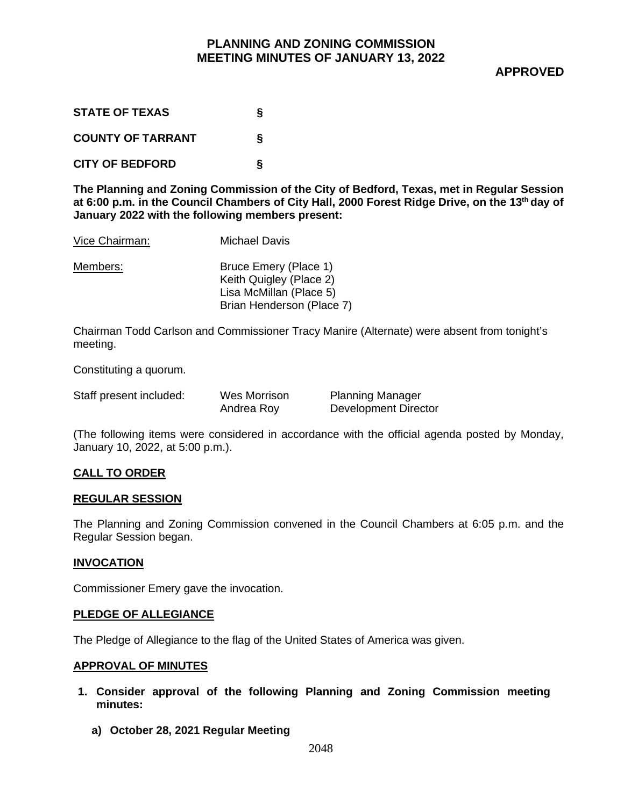**APPROVED**

| <b>STATE OF TEXAS</b>    | δ |  |
|--------------------------|---|--|
| <b>COUNTY OF TARRANT</b> | δ |  |
| <b>CITY OF BEDFORD</b>   |   |  |

**The Planning and Zoning Commission of the City of Bedford, Texas, met in Regular Session at 6:00 p.m. in the Council Chambers of City Hall, 2000 Forest Ridge Drive, on the 13th day of January 2022 with the following members present:**

| Vice Chairman: | <b>Michael Davis</b>                                                                                     |  |
|----------------|----------------------------------------------------------------------------------------------------------|--|
| Members:       | Bruce Emery (Place 1)<br>Keith Quigley (Place 2)<br>Lisa McMillan (Place 5)<br>Brian Henderson (Place 7) |  |

Chairman Todd Carlson and Commissioner Tracy Manire (Alternate) were absent from tonight's meeting.

Constituting a quorum.

| Staff present included: | Wes Morrison | <b>Planning Manager</b> |
|-------------------------|--------------|-------------------------|
|                         | Andrea Roy   | Development Director    |

(The following items were considered in accordance with the official agenda posted by Monday, January 10, 2022, at 5:00 p.m.).

## **CALL TO ORDER**

### **REGULAR SESSION**

The Planning and Zoning Commission convened in the Council Chambers at 6:05 p.m. and the Regular Session began.

#### **INVOCATION**

Commissioner Emery gave the invocation.

### **PLEDGE OF ALLEGIANCE**

The Pledge of Allegiance to the flag of the United States of America was given.

#### **APPROVAL OF MINUTES**

- **1. Consider approval of the following Planning and Zoning Commission meeting minutes:**
	- **a) October 28, 2021 Regular Meeting**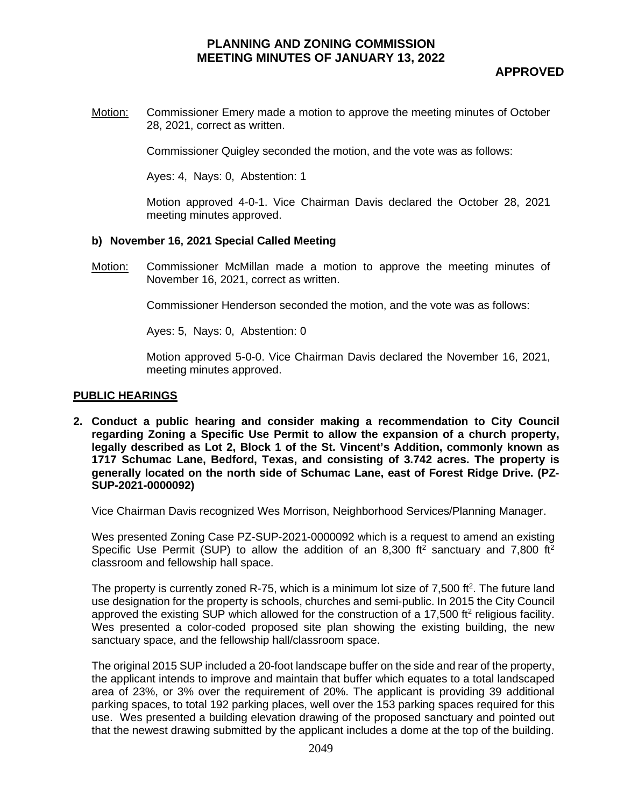Motion: Commissioner Emery made a motion to approve the meeting minutes of October 28, 2021, correct as written.

Commissioner Quigley seconded the motion, and the vote was as follows:

Ayes: 4, Nays: 0, Abstention: 1

Motion approved 4-0-1. Vice Chairman Davis declared the October 28, 2021 meeting minutes approved.

### **b) November 16, 2021 Special Called Meeting**

Motion: Commissioner McMillan made a motion to approve the meeting minutes of November 16, 2021, correct as written.

Commissioner Henderson seconded the motion, and the vote was as follows:

Ayes: 5, Nays: 0, Abstention: 0

Motion approved 5-0-0. Vice Chairman Davis declared the November 16, 2021, meeting minutes approved.

#### **PUBLIC HEARINGS**

**2. Conduct a public hearing and consider making a recommendation to City Council regarding Zoning a Specific Use Permit to allow the expansion of a church property, legally described as Lot 2, Block 1 of the St. Vincent's Addition, commonly known as 1717 Schumac Lane, Bedford, Texas, and consisting of 3.742 acres. The property is generally located on the north side of Schumac Lane, east of Forest Ridge Drive. (PZ-SUP-2021-0000092)**

Vice Chairman Davis recognized Wes Morrison, Neighborhood Services/Planning Manager.

Wes presented Zoning Case PZ-SUP-2021-0000092 which is a request to amend an existing Specific Use Permit (SUP) to allow the addition of an 8,300 ft<sup>2</sup> sanctuary and 7,800 ft<sup>2</sup> classroom and fellowship hall space.

The property is currently zoned R-75, which is a minimum lot size of 7,500 ft<sup>2</sup>. The future land use designation for the property is schools, churches and semi-public. In 2015 the City Council approved the existing SUP which allowed for the construction of a 17,500 ft<sup>2</sup> religious facility. Wes presented a color-coded proposed site plan showing the existing building, the new sanctuary space, and the fellowship hall/classroom space.

The original 2015 SUP included a 20-foot landscape buffer on the side and rear of the property, the applicant intends to improve and maintain that buffer which equates to a total landscaped area of 23%, or 3% over the requirement of 20%. The applicant is providing 39 additional parking spaces, to total 192 parking places, well over the 153 parking spaces required for this use. Wes presented a building elevation drawing of the proposed sanctuary and pointed out that the newest drawing submitted by the applicant includes a dome at the top of the building.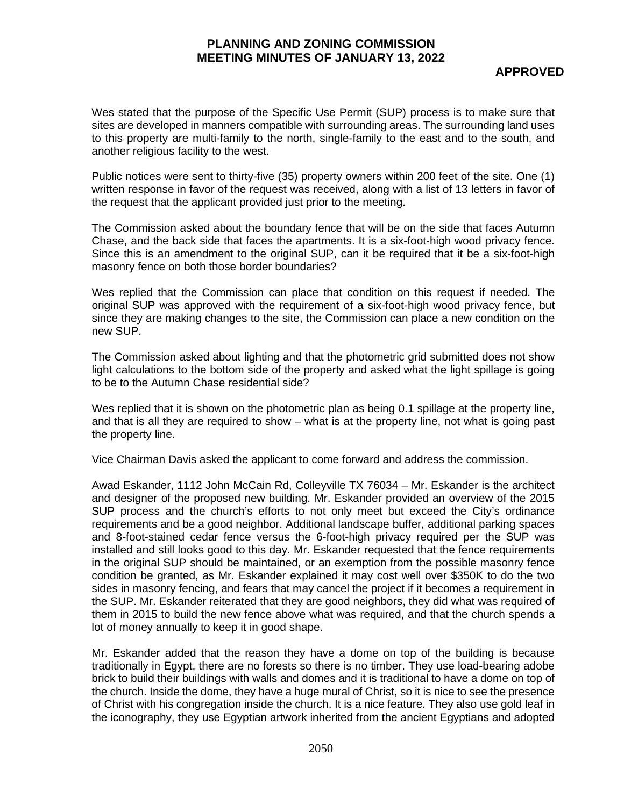# **APPROVED**

Wes stated that the purpose of the Specific Use Permit (SUP) process is to make sure that sites are developed in manners compatible with surrounding areas. The surrounding land uses to this property are multi-family to the north, single-family to the east and to the south, and another religious facility to the west.

Public notices were sent to thirty-five (35) property owners within 200 feet of the site. One (1) written response in favor of the request was received, along with a list of 13 letters in favor of the request that the applicant provided just prior to the meeting.

The Commission asked about the boundary fence that will be on the side that faces Autumn Chase, and the back side that faces the apartments. It is a six-foot-high wood privacy fence. Since this is an amendment to the original SUP, can it be required that it be a six-foot-high masonry fence on both those border boundaries?

Wes replied that the Commission can place that condition on this request if needed. The original SUP was approved with the requirement of a six-foot-high wood privacy fence, but since they are making changes to the site, the Commission can place a new condition on the new SUP.

The Commission asked about lighting and that the photometric grid submitted does not show light calculations to the bottom side of the property and asked what the light spillage is going to be to the Autumn Chase residential side?

Wes replied that it is shown on the photometric plan as being 0.1 spillage at the property line, and that is all they are required to show – what is at the property line, not what is going past the property line.

Vice Chairman Davis asked the applicant to come forward and address the commission.

Awad Eskander, 1112 John McCain Rd, Colleyville TX 76034 – Mr. Eskander is the architect and designer of the proposed new building. Mr. Eskander provided an overview of the 2015 SUP process and the church's efforts to not only meet but exceed the City's ordinance requirements and be a good neighbor. Additional landscape buffer, additional parking spaces and 8-foot-stained cedar fence versus the 6-foot-high privacy required per the SUP was installed and still looks good to this day. Mr. Eskander requested that the fence requirements in the original SUP should be maintained, or an exemption from the possible masonry fence condition be granted, as Mr. Eskander explained it may cost well over \$350K to do the two sides in masonry fencing, and fears that may cancel the project if it becomes a requirement in the SUP. Mr. Eskander reiterated that they are good neighbors, they did what was required of them in 2015 to build the new fence above what was required, and that the church spends a lot of money annually to keep it in good shape.

Mr. Eskander added that the reason they have a dome on top of the building is because traditionally in Egypt, there are no forests so there is no timber. They use load-bearing adobe brick to build their buildings with walls and domes and it is traditional to have a dome on top of the church. Inside the dome, they have a huge mural of Christ, so it is nice to see the presence of Christ with his congregation inside the church. It is a nice feature. They also use gold leaf in the iconography, they use Egyptian artwork inherited from the ancient Egyptians and adopted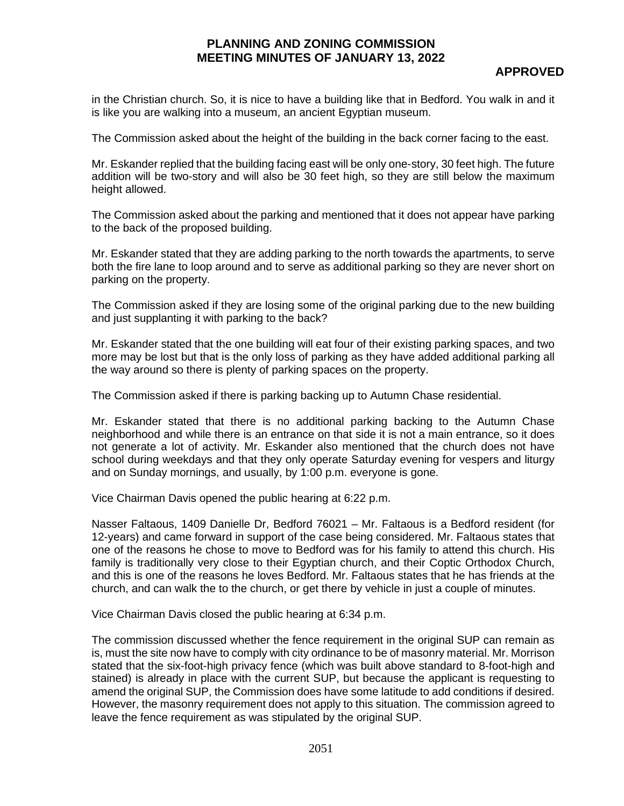# **APPROVED**

in the Christian church. So, it is nice to have a building like that in Bedford. You walk in and it is like you are walking into a museum, an ancient Egyptian museum.

The Commission asked about the height of the building in the back corner facing to the east.

Mr. Eskander replied that the building facing east will be only one-story, 30 feet high. The future addition will be two-story and will also be 30 feet high, so they are still below the maximum height allowed.

The Commission asked about the parking and mentioned that it does not appear have parking to the back of the proposed building.

Mr. Eskander stated that they are adding parking to the north towards the apartments, to serve both the fire lane to loop around and to serve as additional parking so they are never short on parking on the property.

The Commission asked if they are losing some of the original parking due to the new building and just supplanting it with parking to the back?

Mr. Eskander stated that the one building will eat four of their existing parking spaces, and two more may be lost but that is the only loss of parking as they have added additional parking all the way around so there is plenty of parking spaces on the property.

The Commission asked if there is parking backing up to Autumn Chase residential.

Mr. Eskander stated that there is no additional parking backing to the Autumn Chase neighborhood and while there is an entrance on that side it is not a main entrance, so it does not generate a lot of activity. Mr. Eskander also mentioned that the church does not have school during weekdays and that they only operate Saturday evening for vespers and liturgy and on Sunday mornings, and usually, by 1:00 p.m. everyone is gone.

Vice Chairman Davis opened the public hearing at 6:22 p.m.

Nasser Faltaous, 1409 Danielle Dr, Bedford 76021 – Mr. Faltaous is a Bedford resident (for 12-years) and came forward in support of the case being considered. Mr. Faltaous states that one of the reasons he chose to move to Bedford was for his family to attend this church. His family is traditionally very close to their Egyptian church, and their Coptic Orthodox Church, and this is one of the reasons he loves Bedford. Mr. Faltaous states that he has friends at the church, and can walk the to the church, or get there by vehicle in just a couple of minutes.

Vice Chairman Davis closed the public hearing at 6:34 p.m.

The commission discussed whether the fence requirement in the original SUP can remain as is, must the site now have to comply with city ordinance to be of masonry material. Mr. Morrison stated that the six-foot-high privacy fence (which was built above standard to 8-foot-high and stained) is already in place with the current SUP, but because the applicant is requesting to amend the original SUP, the Commission does have some latitude to add conditions if desired. However, the masonry requirement does not apply to this situation. The commission agreed to leave the fence requirement as was stipulated by the original SUP.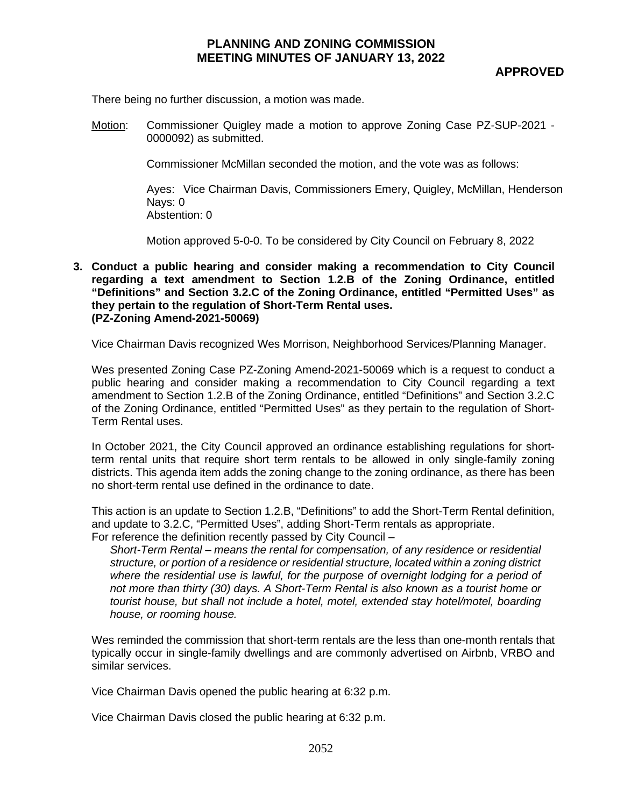**APPROVED**

There being no further discussion, a motion was made.

Motion: Commissioner Quigley made a motion to approve Zoning Case PZ-SUP-2021 - 0000092) as submitted.

Commissioner McMillan seconded the motion, and the vote was as follows:

Ayes: Vice Chairman Davis, Commissioners Emery, Quigley, McMillan, Henderson Nays: 0 Abstention: 0

Motion approved 5-0-0. To be considered by City Council on February 8, 2022

**3. Conduct a public hearing and consider making a recommendation to City Council regarding a text amendment to Section 1.2.B of the Zoning Ordinance, entitled "Definitions" and Section 3.2.C of the Zoning Ordinance, entitled "Permitted Uses" as they pertain to the regulation of Short-Term Rental uses. (PZ-Zoning Amend-2021-50069)**

Vice Chairman Davis recognized Wes Morrison, Neighborhood Services/Planning Manager.

Wes presented Zoning Case PZ-Zoning Amend-2021-50069 which is a request to conduct a public hearing and consider making a recommendation to City Council regarding a text amendment to Section 1.2.B of the Zoning Ordinance, entitled "Definitions" and Section 3.2.C of the Zoning Ordinance, entitled "Permitted Uses" as they pertain to the regulation of Short-Term Rental uses.

In October 2021, the City Council approved an ordinance establishing regulations for shortterm rental units that require short term rentals to be allowed in only single-family zoning districts. This agenda item adds the zoning change to the zoning ordinance, as there has been no short-term rental use defined in the ordinance to date.

This action is an update to Section 1.2.B, "Definitions" to add the Short-Term Rental definition, and update to 3.2.C, "Permitted Uses", adding Short-Term rentals as appropriate. For reference the definition recently passed by City Council –

*Short-Term Rental – means the rental for compensation, of any residence or residential structure, or portion of a residence or residential structure, located within a zoning district*  where the residential use is lawful, for the purpose of overnight lodging for a period of *not more than thirty (30) days. A Short-Term Rental is also known as a tourist home or tourist house, but shall not include a hotel, motel, extended stay hotel/motel, boarding house, or rooming house.*

Wes reminded the commission that short-term rentals are the less than one-month rentals that typically occur in single-family dwellings and are commonly advertised on Airbnb, VRBO and similar services.

Vice Chairman Davis opened the public hearing at 6:32 p.m.

Vice Chairman Davis closed the public hearing at 6:32 p.m.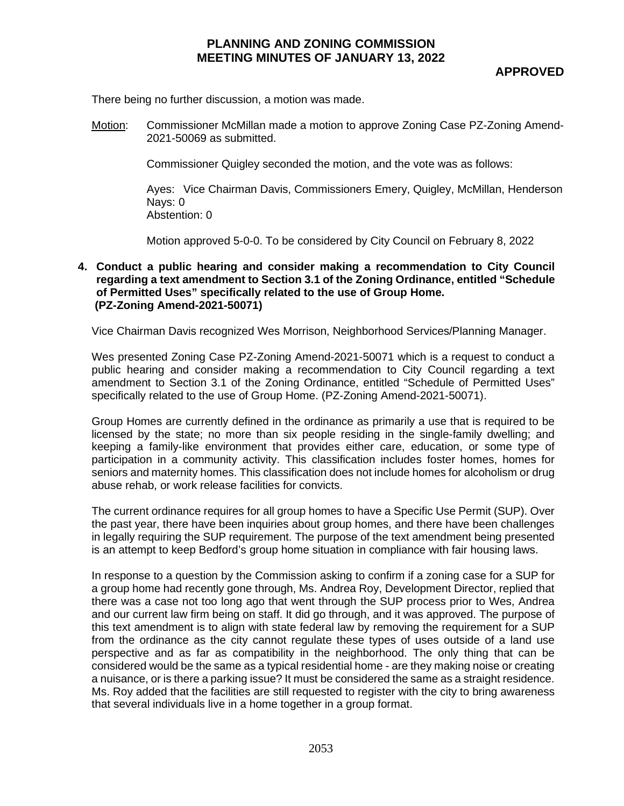**APPROVED**

There being no further discussion, a motion was made.

Motion: Commissioner McMillan made a motion to approve Zoning Case PZ-Zoning Amend-2021-50069 as submitted.

Commissioner Quigley seconded the motion, and the vote was as follows:

Ayes: Vice Chairman Davis, Commissioners Emery, Quigley, McMillan, Henderson Nays: 0 Abstention: 0

Motion approved 5-0-0. To be considered by City Council on February 8, 2022

### **4. Conduct a public hearing and consider making a recommendation to City Council regarding a text amendment to Section 3.1 of the Zoning Ordinance, entitled "Schedule of Permitted Uses" specifically related to the use of Group Home. (PZ-Zoning Amend-2021-50071)**

Vice Chairman Davis recognized Wes Morrison, Neighborhood Services/Planning Manager.

Wes presented Zoning Case PZ-Zoning Amend-2021-50071 which is a request to conduct a public hearing and consider making a recommendation to City Council regarding a text amendment to Section 3.1 of the Zoning Ordinance, entitled "Schedule of Permitted Uses" specifically related to the use of Group Home. (PZ-Zoning Amend-2021-50071).

Group Homes are currently defined in the ordinance as primarily a use that is required to be licensed by the state; no more than six people residing in the single-family dwelling; and keeping a family-like environment that provides either care, education, or some type of participation in a community activity. This classification includes foster homes, homes for seniors and maternity homes. This classification does not include homes for alcoholism or drug abuse rehab, or work release facilities for convicts.

The current ordinance requires for all group homes to have a Specific Use Permit (SUP). Over the past year, there have been inquiries about group homes, and there have been challenges in legally requiring the SUP requirement. The purpose of the text amendment being presented is an attempt to keep Bedford's group home situation in compliance with fair housing laws.

In response to a question by the Commission asking to confirm if a zoning case for a SUP for a group home had recently gone through, Ms. Andrea Roy, Development Director, replied that there was a case not too long ago that went through the SUP process prior to Wes, Andrea and our current law firm being on staff. It did go through, and it was approved. The purpose of this text amendment is to align with state federal law by removing the requirement for a SUP from the ordinance as the city cannot regulate these types of uses outside of a land use perspective and as far as compatibility in the neighborhood. The only thing that can be considered would be the same as a typical residential home - are they making noise or creating a nuisance, or is there a parking issue? It must be considered the same as a straight residence. Ms. Roy added that the facilities are still requested to register with the city to bring awareness that several individuals live in a home together in a group format.